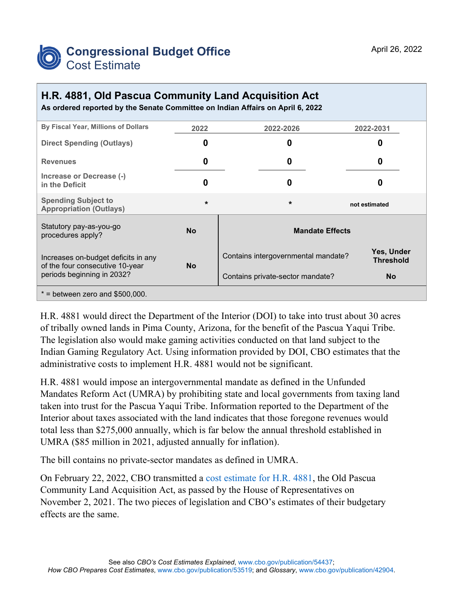

## **H.R. 4881, Old Pascua Community Land Acquisition Act**

**As ordered reported by the Senate Committee on Indian Affairs on April 6, 2022**

| By Fiscal Year, Millions of Dollars                                                                  | 2022      | 2022-2026                           | 2022-2031                      |
|------------------------------------------------------------------------------------------------------|-----------|-------------------------------------|--------------------------------|
| <b>Direct Spending (Outlays)</b>                                                                     | 0         | 0                                   |                                |
| <b>Revenues</b>                                                                                      | 0         | 0                                   | O                              |
| Increase or Decrease (-)<br>in the Deficit                                                           | n         | Ω                                   |                                |
| <b>Spending Subject to</b><br><b>Appropriation (Outlays)</b>                                         | $\star$   | $\star$                             | not estimated                  |
| Statutory pay-as-you-go<br>procedures apply?                                                         | <b>No</b> | <b>Mandate Effects</b>              |                                |
| Increases on-budget deficits in any<br>of the four consecutive 10-year<br>periods beginning in 2032? | <b>No</b> | Contains intergovernmental mandate? | Yes, Under<br><b>Threshold</b> |
|                                                                                                      |           | Contains private-sector mandate?    | <b>No</b>                      |
| $*$ = between zero and \$500,000.                                                                    |           |                                     |                                |

H.R. 4881 would direct the Department of the Interior (DOI) to take into trust about 30 acres of tribally owned lands in Pima County, Arizona, for the benefit of the Pascua Yaqui Tribe. The legislation also would make gaming activities conducted on that land subject to the Indian Gaming Regulatory Act. Using information provided by DOI, CBO estimates that the administrative costs to implement H.R. 4881 would not be significant.

H.R. 4881 would impose an intergovernmental mandate as defined in the Unfunded Mandates Reform Act (UMRA) by prohibiting state and local governments from taxing land taken into trust for the Pascua Yaqui Tribe. Information reported to the Department of the Interior about taxes associated with the land indicates that those foregone revenues would total less than \$275,000 annually, which is far below the annual threshold established in UMRA (\$85 million in 2021, adjusted annually for inflation).

The bill contains no private-sector mandates as defined in UMRA.

On February 22, 2022, CBO transmitted a [cost estimate for H.R. 4881,](https://www.cbo.gov/publication/57865) the Old Pascua Community Land Acquisition Act, as passed by the House of Representatives on November 2, 2021. The two pieces of legislation and CBO's estimates of their budgetary effects are the same.